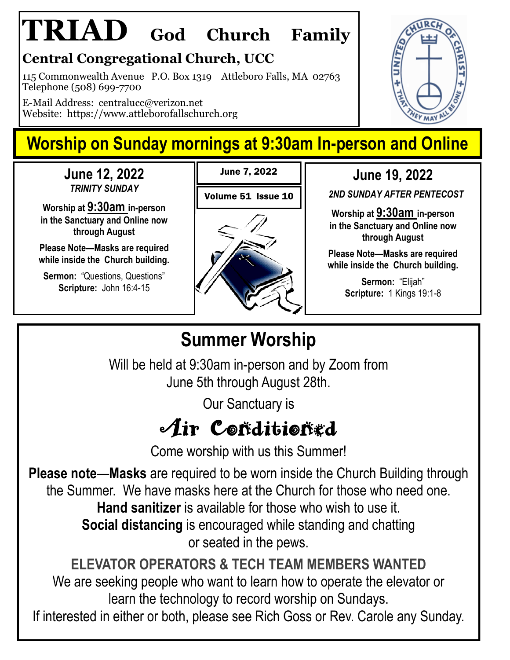# **TRIAD God Church Family**

### **Central Congregational Church, UCC**

115 Commonwealth Avenue P.O. Box 1319 Attleboro Falls, MA 02763 Telephone (508) 699-7700

E-Mail Address: centralucc@verizon.net Website: https://www.attleborofallschurch.org

## **Worship on Sunday mornings at 9:30am In-person and Online**

June 7, 2022

**June 12, 2022**  *TRINITY SUNDAY*

**Worship at 9:30am in-person in the Sanctuary and Online now through August**

**Please Note—Masks are required while inside the Church building.**

**Sermon: "Questions, Questions" Scripture:** John 16:4-15



**June 19, 2022**

*2ND SUNDAY AFTER PENTECOST* 

**Worship at 9:30am in-person in the Sanctuary and Online now through August**

**Please Note—Masks are required while inside the Church building.**

> **Sermon:** "Elijah" **Scripture:** 1 Kings 19:1-8

## **Summer Worship**

Will be held at 9:30am in-person and by Zoom from June 5th through August 28th.

Our Sanctuary is

# $A$ ir Coñditioñed

Come worship with us this Summer!

**Please note**—**Masks** are required to be worn inside the Church Building through the Summer. We have masks here at the Church for those who need one. **Hand sanitizer** is available for those who wish to use it. **Social distancing** is encouraged while standing and chatting or seated in the pews.

**ELEVATOR OPERATORS & TECH TEAM MEMBERS WANTED**  We are seeking people who want to learn how to operate the elevator or learn the technology to record worship on Sundays.

If interested in either or both, please see Rich Goss or Rev. Carole any Sunday.

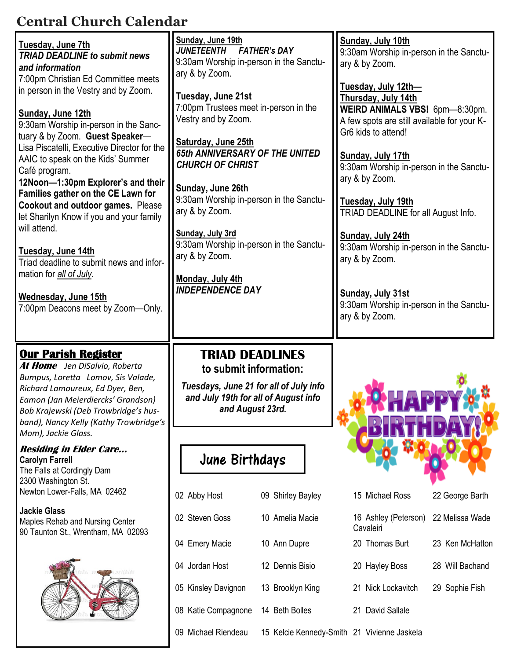### **Central Church Calendar**

| Tuesday, June 7th<br><b>TRIAD DEADLINE to submit news</b><br>and information<br>7:00pm Christian Ed Committee meets                                                                                                                                                                                                                                                                                                                                                                       | Sunday, June 19th<br><b>JUNETEENTH</b><br><b>FATHER's DAY</b><br>9:30am Worship in-person in the Sanctu-<br>ary & by Zoom.                                                                                                             |                   | Sunday, July 10th<br>9:30am Worship in-person in the Sanctu-<br>ary & by Zoom.                                                                                                                                                                             |                 |  |
|-------------------------------------------------------------------------------------------------------------------------------------------------------------------------------------------------------------------------------------------------------------------------------------------------------------------------------------------------------------------------------------------------------------------------------------------------------------------------------------------|----------------------------------------------------------------------------------------------------------------------------------------------------------------------------------------------------------------------------------------|-------------------|------------------------------------------------------------------------------------------------------------------------------------------------------------------------------------------------------------------------------------------------------------|-----------------|--|
| in person in the Vestry and by Zoom.<br>Sunday, June 12th<br>9:30am Worship in-person in the Sanc-<br>tuary & by Zoom. Guest Speaker-<br>Lisa Piscatelli, Executive Director for the<br>AAIC to speak on the Kids' Summer<br>Café program.<br>12Noon-1:30pm Explorer's and their<br>Families gather on the CE Lawn for<br>Cookout and outdoor games. Please<br>let Sharilyn Know if you and your family<br>will attend.<br>Tuesday, June 14th<br>Triad deadline to submit news and infor- | Tuesday, June 21st<br>7:00pm Trustees meet in-person in the<br>Vestry and by Zoom.<br>Saturday, June 25th<br>65th ANNIVERSARY OF THE UNITED<br><b>CHURCH OF CHRIST</b><br>Sunday, June 26th<br>9:30am Worship in-person in the Sanctu- |                   | Tuesday, July 12th-<br>Thursday, July 14th<br>WEIRD ANIMALS VBS! 6pm-8:30pm.<br>A few spots are still available for your K-<br>Gr6 kids to attend!<br>Sunday, July 17th<br>9:30am Worship in-person in the Sanctu-<br>ary & by Zoom.<br>Tuesday, July 19th |                 |  |
|                                                                                                                                                                                                                                                                                                                                                                                                                                                                                           | ary & by Zoom.<br>Sunday, July 3rd<br>9:30am Worship in-person in the Sanctu-<br>ary & by Zoom.                                                                                                                                        |                   | TRIAD DEADLINE for all August Info.<br>Sunday, July 24th<br>9:30am Worship in-person in the Sanctu-<br>ary & by Zoom.                                                                                                                                      |                 |  |
| mation for all of July.<br>Wednesday, June 15th<br>7:00pm Deacons meet by Zoom-Only.                                                                                                                                                                                                                                                                                                                                                                                                      | Monday, July 4th<br><b>INDEPENDENCE DAY</b>                                                                                                                                                                                            |                   | Sunday, July 31st<br>9:30am Worship in-person in the Sanctu-<br>ary & by Zoom.                                                                                                                                                                             |                 |  |
|                                                                                                                                                                                                                                                                                                                                                                                                                                                                                           |                                                                                                                                                                                                                                        |                   |                                                                                                                                                                                                                                                            |                 |  |
| <b>Our Parish Register</b><br>At Home Jen DiSalvio, Roberta<br>Bumpus, Loretta Lomov, Sis Valade,<br>Richard Lamoureux, Ed Dyer, Ben,<br>Eamon (Jan Meierdiercks' Grandson)<br>Bob Krajewski (Deb Trowbridge's hus-<br>band), Nancy Kelly (Kathy Trowbridge's                                                                                                                                                                                                                             | <b>TRIAD DEADLINES</b><br>to submit information:<br>Tuesdays, June 21 for all of July info<br>and July 19th for all of August info<br>and August 23rd.                                                                                 |                   |                                                                                                                                                                                                                                                            |                 |  |
| Mom), Jackie Glass.<br><b>Residing in Elder Care</b><br><b>Carolyn Farrell</b><br>The Falls at Cordingly Dam                                                                                                                                                                                                                                                                                                                                                                              | June Birthdays                                                                                                                                                                                                                         |                   |                                                                                                                                                                                                                                                            |                 |  |
| 2300 Washington St.<br>Newton Lower-Falls, MA 02462                                                                                                                                                                                                                                                                                                                                                                                                                                       | 02 Abby Host                                                                                                                                                                                                                           | 09 Shirley Bayley | 15 Michael Ross                                                                                                                                                                                                                                            | 22 George Barth |  |
| <b>Jackie Glass</b><br>Maples Rehab and Nursing Center                                                                                                                                                                                                                                                                                                                                                                                                                                    | 02 Steven Goss                                                                                                                                                                                                                         | 10 Amelia Macie   | 16 Ashley (Peterson)<br>Cavaleiri                                                                                                                                                                                                                          | 22 Melissa Wade |  |
| 90 Taunton St., Wrentham, MA 02093                                                                                                                                                                                                                                                                                                                                                                                                                                                        | 04 Emery Macie                                                                                                                                                                                                                         | 10 Ann Dupre      | 20 Thomas Burt                                                                                                                                                                                                                                             | 23 Ken McHatton |  |
|                                                                                                                                                                                                                                                                                                                                                                                                                                                                                           | 04 Jordan Host                                                                                                                                                                                                                         | 12 Dennis Bisio   | 20 Hayley Boss                                                                                                                                                                                                                                             | 28 Will Bachand |  |
|                                                                                                                                                                                                                                                                                                                                                                                                                                                                                           | 05 Kinsley Davignon                                                                                                                                                                                                                    | 13 Brooklyn King  | 21 Nick Lockavitch                                                                                                                                                                                                                                         | 29 Sophie Fish  |  |
|                                                                                                                                                                                                                                                                                                                                                                                                                                                                                           | 08 Katie Compagnone                                                                                                                                                                                                                    | 14 Beth Bolles    | 21 David Sallale                                                                                                                                                                                                                                           |                 |  |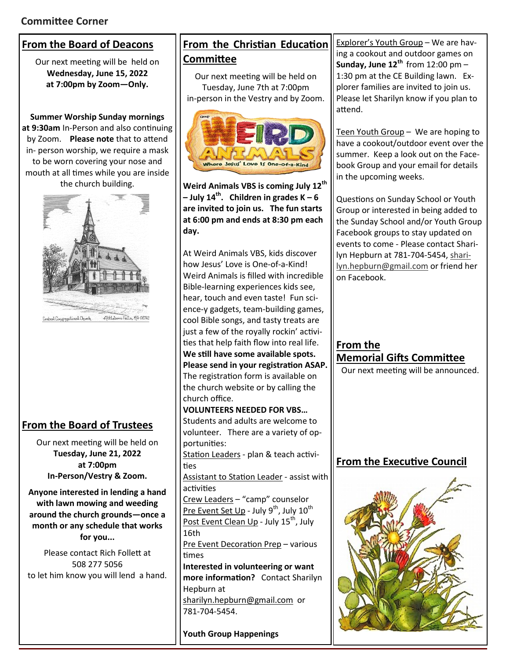#### **From the Board of Deacons**

Our next meeting will be held on **Wednesday, June 15, 2022 at 7:00pm by Zoom—Only.**

**Summer Worship Sunday mornings at 9:30am** In-Person and also continuing by Zoom. **Please note** that to attend in- person worship, we require a mask to be worn covering your nose and mouth at all times while you are inside the church building.



#### **From the Board of Trustees**

Our next meeting will be held on **Tuesday, June 21, 2022 at 7:00pm In-Person/Vestry & Zoom.**

**Anyone interested in lending a hand with lawn mowing and weeding around the church grounds—once a month or any schedule that works for you...**

Please contact Rich Follett at 508 277 5056 to let him know you will lend a hand.

#### **From the Christian Education Committee**

Our next meeting will be held on Tuesday, June 7th at 7:00pm in-person in the Vestry and by Zoom.



**Weird Animals VBS is coming July 12th – July 14th. Children in grades K – 6 are invited to join us. The fun starts at 6:00 pm and ends at 8:30 pm each day.** 

At Weird Animals VBS, kids discover how Jesus' Love is One-of-a-Kind! Weird Animals is filled with incredible Bible-learning experiences kids see, hear, touch and even taste! Fun science-y gadgets, team-building games, cool Bible songs, and tasty treats are just a few of the royally rockin' activities that help faith flow into real life. **We still have some available spots. Please send in your registration ASAP.**  The registration form is available on the church website or by calling the church office.

**VOLUNTEERS NEEDED FOR VBS…** Students and adults are welcome to volunteer. There are a variety of opportunities: Station Leaders - plan & teach activi-

ties

Assistant to Station Leader - assist with activities

Crew Leaders – "camp" counselor Pre Event Set Up - July 9<sup>th</sup>, July 10<sup>th</sup> Post Event Clean Up - July 15<sup>th</sup>, July 16th

Pre Event Decoration Prep – various times

**Interested in volunteering or want more information?** Contact Sharilyn Hepburn at sharilyn.hepburn@gmail.com or 781-704-5454.

**Youth Group Happenings**

Explorer's Youth Group – We are having a cookout and outdoor games on **Sunday, June 12th** from 12:00 pm – 1:30 pm at the CE Building lawn. Explorer families are invited to join us. Please let Sharilyn know if you plan to attend.

Teen Youth Group - We are hoping to have a cookout/outdoor event over the summer. Keep a look out on the Facebook Group and your email for details in the upcoming weeks.

Questions on Sunday School or Youth Group or interested in being added to the Sunday School and/or Youth Group Facebook groups to stay updated on events to come - Please contact Sharilyn Hepburn at 781-704-5454, sharilyn.hepburn@gmail.com or friend her on Facebook.

**From the Memorial Gifts Committee**  Our next meeting will be announced.

**From the Executive Council** 

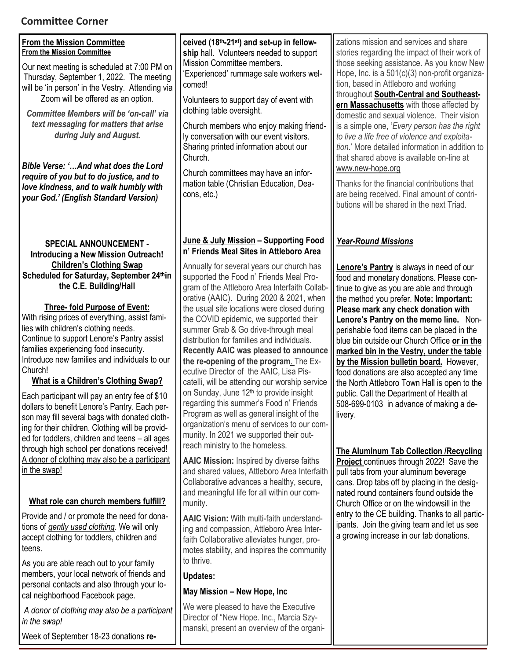#### **Committee Corner**

| <b>Committee Corner</b>                                                                                                                                                                                                                                                                                                                                                                                                                                                                                                                                                                                                                                                      |                                                                                                                                                                                                                                                                                                                                                                                                                                                                                                                                                                                                                                                                                                                                                                                    |                                                                                                                                                                                                                                                                                                                                                                                                                                                                                                                                                                                                                                                                                                                                     |
|------------------------------------------------------------------------------------------------------------------------------------------------------------------------------------------------------------------------------------------------------------------------------------------------------------------------------------------------------------------------------------------------------------------------------------------------------------------------------------------------------------------------------------------------------------------------------------------------------------------------------------------------------------------------------|------------------------------------------------------------------------------------------------------------------------------------------------------------------------------------------------------------------------------------------------------------------------------------------------------------------------------------------------------------------------------------------------------------------------------------------------------------------------------------------------------------------------------------------------------------------------------------------------------------------------------------------------------------------------------------------------------------------------------------------------------------------------------------|-------------------------------------------------------------------------------------------------------------------------------------------------------------------------------------------------------------------------------------------------------------------------------------------------------------------------------------------------------------------------------------------------------------------------------------------------------------------------------------------------------------------------------------------------------------------------------------------------------------------------------------------------------------------------------------------------------------------------------------|
| <b>From the Mission Committee</b><br><b>From the Mission Committee</b><br>Our next meeting is scheduled at 7:00 PM on<br>Thursday, September 1, 2022. The meeting<br>will be 'in person' in the Vestry. Attending via<br>Zoom will be offered as an option.<br>Committee Members will be 'on-call' via<br>text messaging for matters that arise<br>during July and August.<br>Bible Verse: 'And what does the Lord<br>require of you but to do justice, and to<br>love kindness, and to walk humbly with<br>your God.' (English Standard Version)                                                                                                                            | ceived (18th-21st) and set-up in fellow-<br>ship hall. Volunteers needed to support<br>Mission Committee members.<br>'Experienced' rummage sale workers wel-<br>comed!<br>Volunteers to support day of event with<br>clothing table oversight.<br>Church members who enjoy making friend-<br>ly conversation with our event visitors.<br>Sharing printed information about our<br>Church.<br>Church committees may have an infor-<br>mation table (Christian Education, Dea-<br>cons, etc.)                                                                                                                                                                                                                                                                                        | zations mission and services and share<br>stories regarding the impact of their work of<br>those seeking assistance. As you know New<br>Hope, Inc. is a 501(c)(3) non-profit organiza-<br>tion, based in Attleboro and working<br>throughout South-Central and Southeast-<br>ern Massachusetts with those affected by<br>domestic and sexual violence. Their vision<br>is a simple one, 'Every person has the right<br>to live a life free of violence and exploita-<br>tion.' More detailed information in addition to<br>that shared above is available on-line at<br>www.new-hope.org<br>Thanks for the financial contributions that<br>are being received. Final amount of contri-<br>butions will be shared in the next Triad. |
| <b>SPECIAL ANNOUNCEMENT -</b><br><b>Introducing a New Mission Outreach!</b><br><b>Children's Clothing Swap</b><br>Scheduled for Saturday, September 24thin<br>the C.E. Building/Hall<br><b>Three- fold Purpose of Event:</b><br>With rising prices of everything, assist fami-<br>lies with children's clothing needs.<br>Continue to support Lenore's Pantry assist<br>families experiencing food insecurity.<br>Introduce new families and individuals to our<br>Church!<br><b>What is a Children's Clothing Swap?</b><br>Each participant will pay an entry fee of \$10<br>dollars to benefit Lenore's Pantry. Each per-<br>son may fill several bags with donated cloth- | June & July Mission - Supporting Food<br>n' Friends Meal Sites in Attleboro Area<br>Annually for several years our church has<br>supported the Food n' Friends Meal Pro-<br>gram of the Attleboro Area Interfaith Collab-<br>orative (AAIC). During 2020 & 2021, when<br>the usual site locations were closed during<br>the COVID epidemic, we supported their<br>summer Grab & Go drive-through meal<br>distribution for families and individuals.<br>Recently AAIC was pleased to announce<br>the re-opening of the program. The Ex-<br>ecutive Director of the AAIC, Lisa Pis-<br>catelli, will be attending our worship service<br>on Sunday, June 12 <sup>th</sup> to provide insight<br>regarding this summer's Food n' Friends<br>Program as well as general insight of the | <b>Year-Round Missions</b><br>Lenore's Pantry is always in need of our<br>food and monetary donations. Please con-<br>tinue to give as you are able and through<br>the method you prefer. Note: Important:<br>Please mark any check donation with<br>Lenore's Pantry on the memo line. Non-<br>perishable food items can be placed in the<br>blue bin outside our Church Office or in the<br>marked bin in the Vestry, under the table<br>by the Mission bulletin board. However,<br>food donations are also accepted any time<br>the North Attleboro Town Hall is open to the<br>public. Call the Department of Health at<br>508-699-0103 in advance of making a de-<br>livery.                                                    |
| ing for their children. Clothing will be provid-<br>ed for toddlers, children and teens - all ages<br>through high school per donations received!<br>A donor of clothing may also be a participant<br>in the swap!<br>What role can church members fulfill?<br>Provide and / or promote the need for dona-<br>tions of gently used clothing. We will only<br>accept clothing for toddlers, children and                                                                                                                                                                                                                                                                      | organization's menu of services to our com-<br>munity. In 2021 we supported their out-<br>reach ministry to the homeless.<br><b>AAIC Mission:</b> Inspired by diverse faiths<br>and shared values, Attleboro Area Interfaith<br>Collaborative advances a healthy, secure,<br>and meaningful life for all within our com-<br>munity.<br><b>AAIC Vision:</b> With multi-faith understand-<br>ing and compassion, Attleboro Area Inter-<br>faith Collaborative alleviates hunger, pro-                                                                                                                                                                                                                                                                                                | <b>The Aluminum Tab Collection /Recycling</b><br>Project continues through 2022! Save the<br>pull tabs from your aluminum beverage<br>cans. Drop tabs off by placing in the desig-<br>nated round containers found outside the<br>Church Office or on the windowsill in the<br>entry to the CE building. Thanks to all partic-<br>ipants. Join the giving team and let us see<br>a growing increase in our tab donations.                                                                                                                                                                                                                                                                                                           |

motes stability, and inspires the community

We were pleased to have the Executive Director of "New Hope. Inc., Marcia Szymanski, present an overview of the organi-

**May Mission – New Hope, Inc**

to thrive. **Updates:** 

As you are able reach out to your family members, your local network of friends and personal contacts and also through your local neighborhood Facebook page.

teens.

*A donor of clothing may also be a participant in the swap!* 

Week of September 18-23 donations **re-**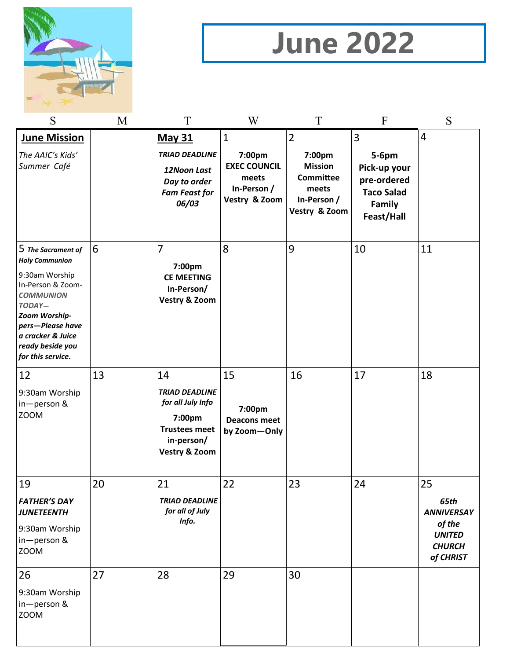

# **June 2022**

| S                                                                                                                                                                                                                   | M  | T                                                                                                                            | W                                                                                      | T                                                                                                       | F                                                                                      | S                                                                                        |
|---------------------------------------------------------------------------------------------------------------------------------------------------------------------------------------------------------------------|----|------------------------------------------------------------------------------------------------------------------------------|----------------------------------------------------------------------------------------|---------------------------------------------------------------------------------------------------------|----------------------------------------------------------------------------------------|------------------------------------------------------------------------------------------|
| <b>June Mission</b><br>The AAIC's Kids'<br>Summer Café                                                                                                                                                              |    | <b>May 31</b><br><b>TRIAD DEADLINE</b><br>12Noon Last<br>Day to order<br><b>Fam Feast for</b><br>06/03                       | $\mathbf{1}$<br>7:00pm<br><b>EXEC COUNCIL</b><br>meets<br>In-Person /<br>Vestry & Zoom | $\overline{2}$<br>7:00pm<br><b>Mission</b><br><b>Committee</b><br>meets<br>In-Person /<br>Vestry & Zoom | 3<br>5-6pm<br>Pick-up your<br>pre-ordered<br><b>Taco Salad</b><br>Family<br>Feast/Hall | $\overline{4}$                                                                           |
| 5 The Sacrament of<br><b>Holy Communion</b><br>9:30am Worship<br>In-Person & Zoom-<br><b>COMMUNION</b><br>TODAY-<br>Zoom Worship-<br>pers-Please have<br>a cracker & Juice<br>ready beside you<br>for this service. | 6  | $\overline{7}$<br>7:00pm<br><b>CE MEETING</b><br>In-Person/<br><b>Vestry &amp; Zoom</b>                                      | 8                                                                                      | 9                                                                                                       | 10                                                                                     | 11                                                                                       |
| 12<br>9:30am Worship<br>in-person &<br><b>ZOOM</b>                                                                                                                                                                  | 13 | 14<br><b>TRIAD DEADLINE</b><br>for all July Info<br>7:00pm<br><b>Trustees meet</b><br>in-person/<br><b>Vestry &amp; Zoom</b> | 15<br>7:00pm<br><b>Deacons meet</b><br>by Zoom-Only                                    | 16                                                                                                      | 17                                                                                     | 18                                                                                       |
| 19<br><b>FATHER'S DAY</b><br><b>JUNETEENTH</b><br>9:30am Worship<br>in-person &<br><b>ZOOM</b>                                                                                                                      | 20 | 21<br><b>TRIAD DEADLINE</b><br>for all of July<br>Info.                                                                      | 22                                                                                     | 23                                                                                                      | 24                                                                                     | 25<br>65th<br><b>ANNIVERSAY</b><br>of the<br><b>UNITED</b><br><b>CHURCH</b><br>of CHRIST |
| 26<br>9:30am Worship<br>in-person &<br><b>ZOOM</b>                                                                                                                                                                  | 27 | 28                                                                                                                           | 29                                                                                     | 30                                                                                                      |                                                                                        |                                                                                          |